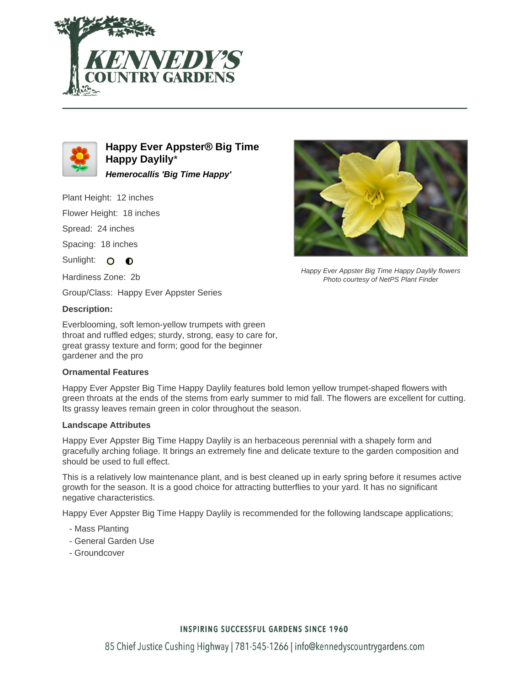



**Happy Ever Appster® Big Time Happy Daylily**\* **Hemerocallis 'Big Time Happy'**

Plant Height: 12 inches

Flower Height: 18 inches

Spread: 24 inches

Spacing: 18 inches

Sunlight: O O

Hardiness Zone: 2b

Group/Class: Happy Ever Appster Series

### **Description:**

Everblooming, soft lemon-yellow trumpets with green throat and ruffled edges; sturdy, strong, easy to care for, great grassy texture and form; good for the beginner gardener and the pro

#### **Ornamental Features**

Happy Ever Appster Big Time Happy Daylily features bold lemon yellow trumpet-shaped flowers with green throats at the ends of the stems from early summer to mid fall. The flowers are excellent for cutting. Its grassy leaves remain green in color throughout the season.

#### **Landscape Attributes**

Happy Ever Appster Big Time Happy Daylily is an herbaceous perennial with a shapely form and gracefully arching foliage. It brings an extremely fine and delicate texture to the garden composition and should be used to full effect.

This is a relatively low maintenance plant, and is best cleaned up in early spring before it resumes active growth for the season. It is a good choice for attracting butterflies to your yard. It has no significant negative characteristics.

Happy Ever Appster Big Time Happy Daylily is recommended for the following landscape applications;

- Mass Planting
- General Garden Use
- Groundcover



Happy Ever Appster Big Time Happy Daylily flowers Photo courtesy of NetPS Plant Finder

## **INSPIRING SUCCESSFUL GARDENS SINCE 1960**

85 Chief Justice Cushing Highway | 781-545-1266 | info@kennedyscountrygardens.com